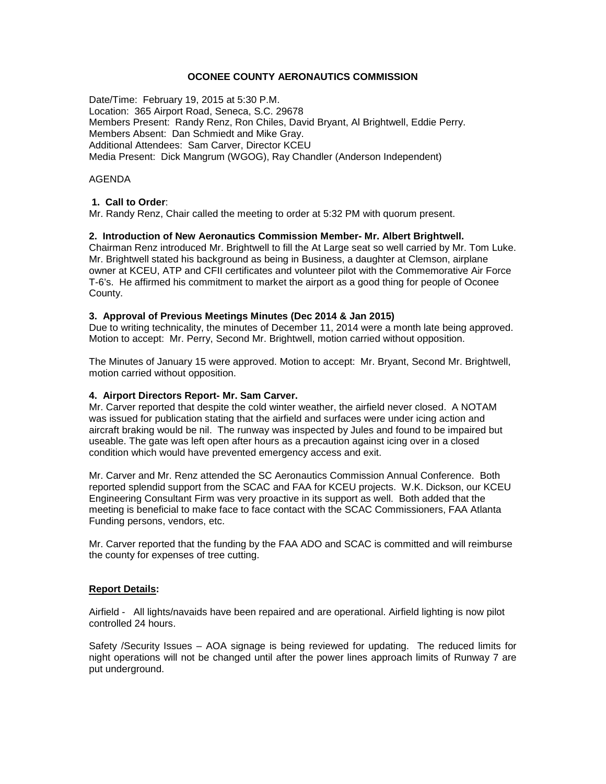## **OCONEE COUNTY AERONAUTICS COMMISSION**

Date/Time: February 19, 2015 at 5:30 P.M. Location: 365 Airport Road, Seneca, S.C. 29678 Members Present: Randy Renz, Ron Chiles, David Bryant, Al Brightwell, Eddie Perry. Members Absent: Dan Schmiedt and Mike Gray. Additional Attendees: Sam Carver, Director KCEU Media Present: Dick Mangrum (WGOG), Ray Chandler (Anderson Independent)

## AGENDA

# **1. Call to Order**:

Mr. Randy Renz, Chair called the meeting to order at 5:32 PM with quorum present.

# **2. Introduction of New Aeronautics Commission Member- Mr. Albert Brightwell.**

Chairman Renz introduced Mr. Brightwell to fill the At Large seat so well carried by Mr. Tom Luke. Mr. Brightwell stated his background as being in Business, a daughter at Clemson, airplane owner at KCEU, ATP and CFII certificates and volunteer pilot with the Commemorative Air Force T-6's. He affirmed his commitment to market the airport as a good thing for people of Oconee County.

## **3. Approval of Previous Meetings Minutes (Dec 2014 & Jan 2015)**

Due to writing technicality, the minutes of December 11, 2014 were a month late being approved. Motion to accept: Mr. Perry, Second Mr. Brightwell, motion carried without opposition.

The Minutes of January 15 were approved. Motion to accept: Mr. Bryant, Second Mr. Brightwell, motion carried without opposition.

## **4. Airport Directors Report- Mr. Sam Carver.**

Mr. Carver reported that despite the cold winter weather, the airfield never closed. A NOTAM was issued for publication stating that the airfield and surfaces were under icing action and aircraft braking would be nil. The runway was inspected by Jules and found to be impaired but useable. The gate was left open after hours as a precaution against icing over in a closed condition which would have prevented emergency access and exit.

Mr. Carver and Mr. Renz attended the SC Aeronautics Commission Annual Conference. Both reported splendid support from the SCAC and FAA for KCEU projects. W.K. Dickson, our KCEU Engineering Consultant Firm was very proactive in its support as well. Both added that the meeting is beneficial to make face to face contact with the SCAC Commissioners, FAA Atlanta Funding persons, vendors, etc.

Mr. Carver reported that the funding by the FAA ADO and SCAC is committed and will reimburse the county for expenses of tree cutting.

## **Report Details:**

Airfield - All lights/navaids have been repaired and are operational. Airfield lighting is now pilot controlled 24 hours.

Safety /Security Issues – AOA signage is being reviewed for updating. The reduced limits for night operations will not be changed until after the power lines approach limits of Runway 7 are put underground.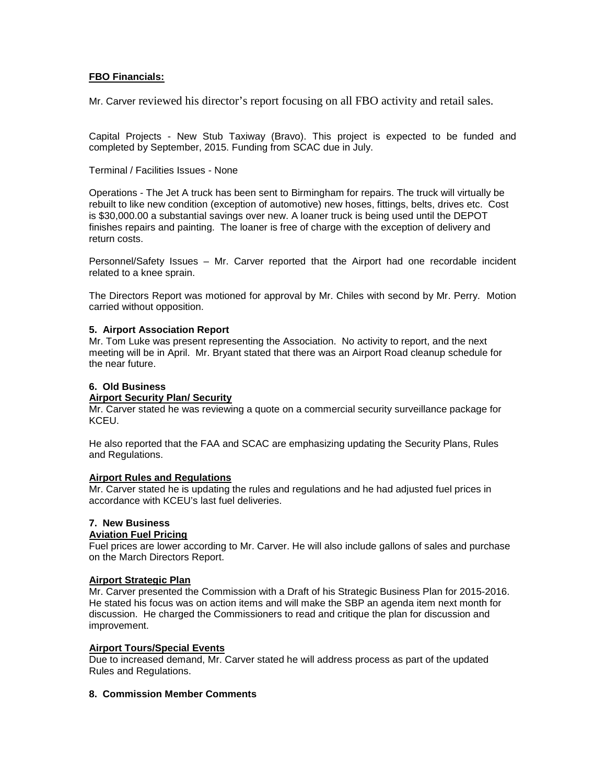# **FBO Financials:**

Mr. Carver reviewed his director's report focusing on all FBO activity and retail sales.

Capital Projects - New Stub Taxiway (Bravo). This project is expected to be funded and completed by September, 2015. Funding from SCAC due in July.

Terminal / Facilities Issues - None

Operations - The Jet A truck has been sent to Birmingham for repairs. The truck will virtually be rebuilt to like new condition (exception of automotive) new hoses, fittings, belts, drives etc. Cost is \$30,000.00 a substantial savings over new. A loaner truck is being used until the DEPOT finishes repairs and painting. The loaner is free of charge with the exception of delivery and return costs.

Personnel/Safety Issues – Mr. Carver reported that the Airport had one recordable incident related to a knee sprain.

The Directors Report was motioned for approval by Mr. Chiles with second by Mr. Perry. Motion carried without opposition.

#### **5. Airport Association Report**

Mr. Tom Luke was present representing the Association. No activity to report, and the next meeting will be in April. Mr. Bryant stated that there was an Airport Road cleanup schedule for the near future.

### **6. Old Business**

#### **Airport Security Plan/ Security**

Mr. Carver stated he was reviewing a quote on a commercial security surveillance package for KCEU.

He also reported that the FAA and SCAC are emphasizing updating the Security Plans, Rules and Regulations.

#### **Airport Rules and Regulations**

Mr. Carver stated he is updating the rules and regulations and he had adjusted fuel prices in accordance with KCEU's last fuel deliveries.

# **7. New Business**

# **Aviation Fuel Pricing**

Fuel prices are lower according to Mr. Carver. He will also include gallons of sales and purchase on the March Directors Report.

# **Airport Strategic Plan**

Mr. Carver presented the Commission with a Draft of his Strategic Business Plan for 2015-2016. He stated his focus was on action items and will make the SBP an agenda item next month for discussion. He charged the Commissioners to read and critique the plan for discussion and improvement.

## **Airport Tours/Special Events**

Due to increased demand, Mr. Carver stated he will address process as part of the updated Rules and Regulations.

# **8. Commission Member Comments**